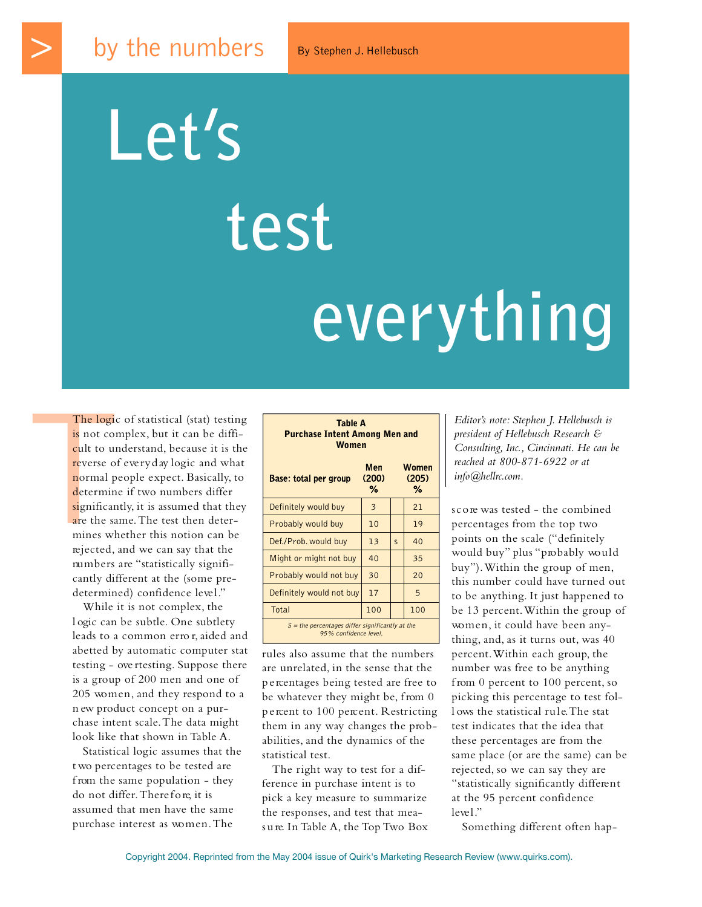**Let's**

## **test**

## **everything**

The logic<br>
is not com<br>
cult to uno<br>
reverse of<br>
normal pe<br>
determine<br>
significant<br>
are the san<br>
mines whe<br>
rejected, an The logic of statistical (stat) testing is not complex, but it can be difficult to understand, because it is the reverse of every day logic and what normal people expect. Basically, to determine if two numbers differ significantly, it is assumed that they are the same. The test then determines whether this notion can be rejected, and we can say that the numbers are "statistically significantly different at the (some predetermined) confidence level."

> While it is not complex, the l ogic can be subtle. One subtlety leads to a common erro r, aided and abetted by automatic computer stat testing - overtesting. Suppose there is a group of 200 men and one of 205 women, and they respond to a n ew product concept on a purchase intent scale.The data might look like that shown in Table A.

Statistical logic assumes that the t wo percentages to be tested are f rom the same population - they do not differ. There fore, it is assumed that men have the same purchase interest as women. The

| <b>Purchase Intent Among Men and</b><br><b>Women</b>                       |                   |                |                            |  |  |
|----------------------------------------------------------------------------|-------------------|----------------|----------------------------|--|--|
| <b>Base: total per group</b>                                               | Men<br>(200)<br>℅ |                | <b>Women</b><br>(205)<br>% |  |  |
| Definitely would buy                                                       | 3                 |                | 21                         |  |  |
| Probably would buy                                                         | 10                |                | 19                         |  |  |
| Def./Prob. would buy                                                       | 13                | $\overline{S}$ | 40                         |  |  |
| Might or might not buy                                                     | 40                |                | 35                         |  |  |
| Probably would not buy                                                     | 30                |                | 20                         |  |  |
| Definitely would not buy                                                   | 17                |                | 5                          |  |  |
| Total                                                                      | 100               |                | 100                        |  |  |
| $S =$ the percentages differ significantly at the<br>95% confidence level. |                   |                |                            |  |  |

Table A

rules also assume that the numbers are unrelated, in the sense that the p e rcentages being tested are free to be whatever they might be, from 0 p e rcent to 100 percent. Restricting them in any way changes the probabilities, and the dynamics of the statistical test.

The right way to test for a difference in purchase intent is to pick a key measure to summarize the responses, and test that measure. In Table A, the Top Two Box *Editor's note: Stephen J. Hellebusch is president of Hellebusch Research & Consulting, Inc., Cincinnati. He can be reached at 800-871-6922 or at info@hellrc.com.*

score was tested - the combined percentages from the top two points on the scale ("definitely would buy" plus "probably would buy"). Within the group of men, this number could have turned out to be anything. It just happened to be 13 percent. Within the group of women, it could have been anything, and, as it turns out, was 40 percent. Within each group, the number was free to be anything from 0 percent to  $100$  percent, so picking this percentage to test foll ows the statistical rule. The stat test indicates that the idea that these percentages are from the same place (or are the same) can be rejected, so we can say they are "statistically significantly different at the 95 percent confidence level."

Something different often hap-